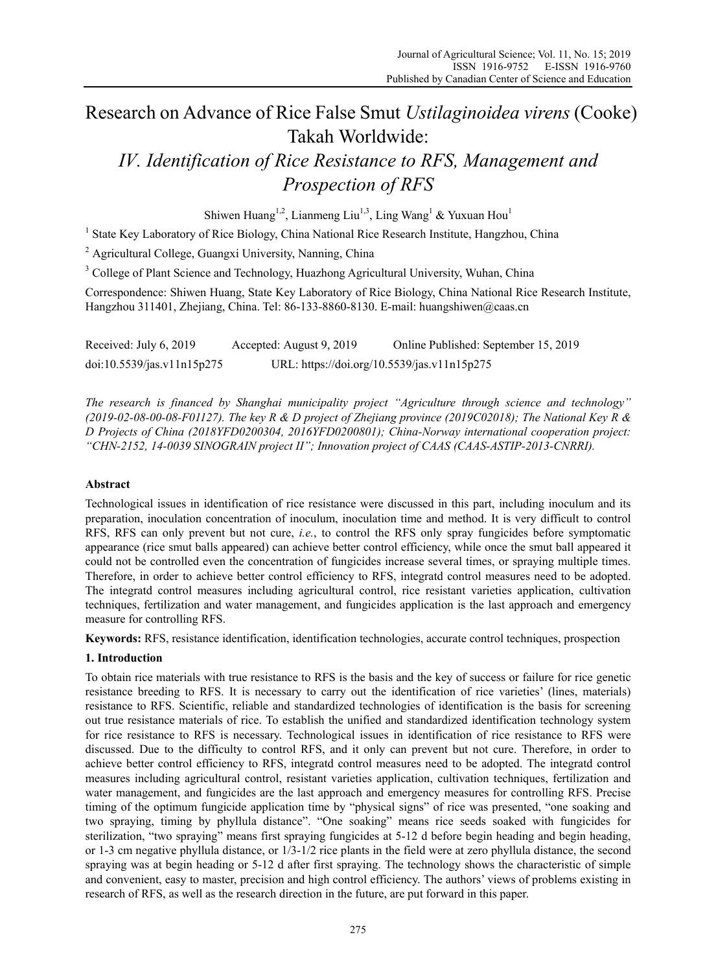# Research on Advance of Rice False Smut *Ustilaginoidea virens* (Cooke) Takah Worldwide:

# *IV. Identification of Rice Resistance to RFS, Management and Prospection of RFS*

Shiwen Huang<sup>1,2</sup>, Lianmeng Liu<sup>1,3</sup>, Ling Wang<sup>1</sup> & Yuxuan Hou<sup>1</sup>

<sup>1</sup> State Key Laboratory of Rice Biology, China National Rice Research Institute, Hangzhou, China

<sup>2</sup> Agricultural College, Guangxi University, Nanning, China

<sup>3</sup> College of Plant Science and Technology, Huazhong Agricultural University, Wuhan, China

Correspondence: Shiwen Huang, State Key Laboratory of Rice Biology, China National Rice Research Institute, Hangzhou 311401, Zhejiang, China. Tel: 86-133-8860-8130. E-mail: huangshiwen@caas.cn

Received: July 6, 2019 Accepted: August 9, 2019 Online Published: September 15, 2019 doi:10.5539/jas.v11n15p275 URL: https://doi.org/10.5539/jas.v11n15p275

*The research is financed by Shanghai municipality project "Agriculture through science and technology" (2019-02-08-00-08-F01127). The key R & D project of Zhejiang province (2019C02018); The National Key R & D Projects of China (2018YFD0200304, 2016YFD0200801); China-Norway international cooperation project: "CHN-2152, 14-0039 SINOGRAIN project II"; Innovation project of CAAS (CAAS-ASTIP-2013-CNRRI).*

## **Abstract**

Technological issues in identification of rice resistance were discussed in this part, including inoculum and its preparation, inoculation concentration of inoculum, inoculation time and method. It is very difficult to control RFS, RFS can only prevent but not cure, *i.e.*, to control the RFS only spray fungicides before symptomatic appearance (rice smut balls appeared) can achieve better control efficiency, while once the smut ball appeared it could not be controlled even the concentration of fungicides increase several times, or spraying multiple times. Therefore, in order to achieve better control efficiency to RFS, integratd control measures need to be adopted. The integratd control measures including agricultural control, rice resistant varieties application, cultivation techniques, fertilization and water management, and fungicides application is the last approach and emergency measure for controlling RFS.

**Keywords:** RFS, resistance identification, identification technologies, accurate control techniques, prospection

## **1. Introduction**

To obtain rice materials with true resistance to RFS is the basis and the key of success or failure for rice genetic resistance breeding to RFS. It is necessary to carry out the identification of rice varieties' (lines, materials) resistance to RFS. Scientific, reliable and standardized technologies of identification is the basis for screening out true resistance materials of rice. To establish the unified and standardized identification technology system for rice resistance to RFS is necessary. Technological issues in identification of rice resistance to RFS were discussed. Due to the difficulty to control RFS, and it only can prevent but not cure. Therefore, in order to achieve better control efficiency to RFS, integratd control measures need to be adopted. The integratd control measures including agricultural control, resistant varieties application, cultivation techniques, fertilization and water management, and fungicides are the last approach and emergency measures for controlling RFS. Precise timing of the optimum fungicide application time by "physical signs" of rice was presented, "one soaking and two spraying, timing by phyllula distance". "One soaking" means rice seeds soaked with fungicides for sterilization, "two spraying" means first spraying fungicides at 5-12 d before begin heading and begin heading, or 1-3 cm negative phyllula distance, or 1/3-1/2 rice plants in the field were at zero phyllula distance, the second spraying was at begin heading or 5-12 d after first spraying. The technology shows the characteristic of simple and convenient, easy to master, precision and high control efficiency. The authors' views of problems existing in research of RFS, as well as the research direction in the future, are put forward in this paper.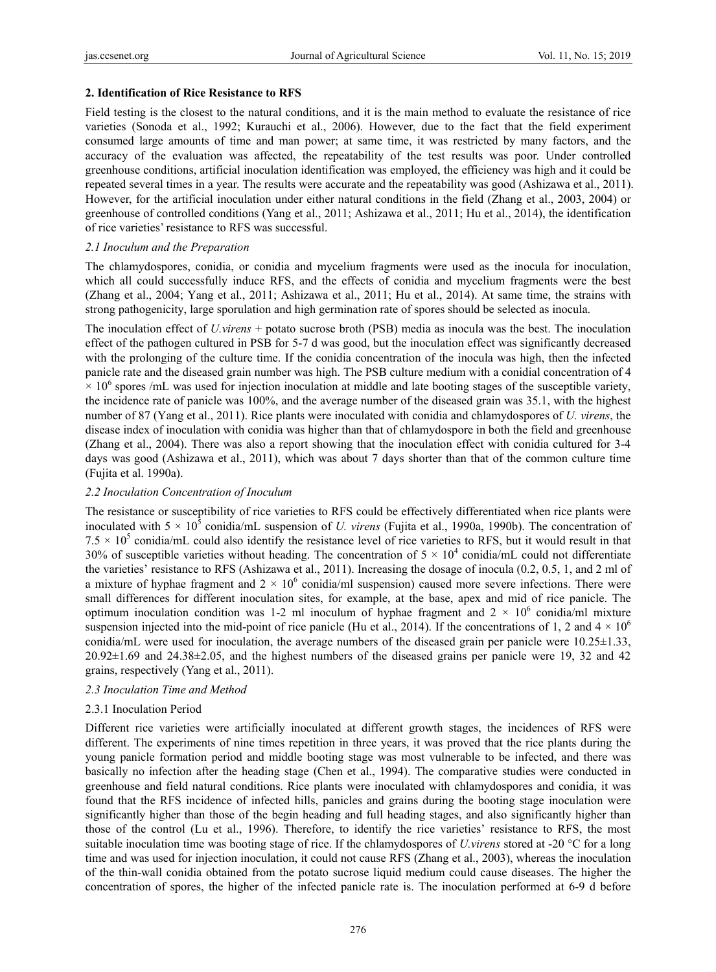### **2. Identification of Rice Resistance to RFS**

Field testing is the closest to the natural conditions, and it is the main method to evaluate the resistance of rice varieties (Sonoda et al., 1992; Kurauchi et al., 2006). However, due to the fact that the field experiment consumed large amounts of time and man power; at same time, it was restricted by many factors, and the accuracy of the evaluation was affected, the repeatability of the test results was poor. Under controlled greenhouse conditions, artificial inoculation identification was employed, the efficiency was high and it could be repeated several times in a year. The results were accurate and the repeatability was good (Ashizawa et al., 2011). However, for the artificial inoculation under either natural conditions in the field (Zhang et al., 2003, 2004) or greenhouse of controlled conditions (Yang et al., 2011; Ashizawa et al., 2011; Hu et al., 2014), the identification of rice varieties' resistance to RFS was successful.

## *2.1 Inoculum and the Preparation*

The chlamydospores, conidia, or conidia and mycelium fragments were used as the inocula for inoculation, which all could successfully induce RFS, and the effects of conidia and mycelium fragments were the best (Zhang et al., 2004; Yang et al., 2011; Ashizawa et al., 2011; Hu et al., 2014). At same time, the strains with strong pathogenicity, large sporulation and high germination rate of spores should be selected as inocula.

The inoculation effect of *U.virens* + potato sucrose broth (PSB) media as inocula was the best. The inoculation effect of the pathogen cultured in PSB for 5-7 d was good, but the inoculation effect was significantly decreased with the prolonging of the culture time. If the conidia concentration of the inocula was high, then the infected panicle rate and the diseased grain number was high. The PSB culture medium with a conidial concentration of 4  $\times$  10<sup>6</sup> spores /mL was used for injection inoculation at middle and late booting stages of the susceptible variety, the incidence rate of panicle was 100%, and the average number of the diseased grain was 35.1, with the highest number of 87 (Yang et al., 2011). Rice plants were inoculated with conidia and chlamydospores of *U. virens*, the disease index of inoculation with conidia was higher than that of chlamydospore in both the field and greenhouse (Zhang et al., 2004). There was also a report showing that the inoculation effect with conidia cultured for 3-4 days was good (Ashizawa et al., 2011), which was about 7 days shorter than that of the common culture time (Fujita et al. 1990a).

## *2.2 Inoculation Concentration of Inoculum*

The resistance or susceptibility of rice varieties to RFS could be effectively differentiated when rice plants were inoculated with  $5 \times 10^5$  conidia/mL suspension of *U. virens* (Fujita et al., 1990a, 1990b). The concentration of  $7.5 \times 10^5$  conidia/mL could also identify the resistance level of rice varieties to RFS, but it would result in that 30% of susceptible varieties without heading. The concentration of  $5 \times 10^4$  conidia/mL could not differentiate the varieties' resistance to RFS (Ashizawa et al., 2011). Increasing the dosage of inocula (0.2, 0.5, 1, and 2 ml of a mixture of hyphae fragment and  $2 \times 10^6$  conidia/ml suspension) caused more severe infections. There were small differences for different inoculation sites, for example, at the base, apex and mid of rice panicle. The optimum inoculation condition was 1-2 ml inoculum of hyphae fragment and  $2 \times 10^6$  conidia/ml mixture suspension injected into the mid-point of rice panicle (Hu et al., 2014). If the concentrations of 1, 2 and  $4 \times 10^6$ conidia/mL were used for inoculation, the average numbers of the diseased grain per panicle were 10.25±1.33, 20.92±1.69 and 24.38±2.05, and the highest numbers of the diseased grains per panicle were 19, 32 and 42 grains, respectively (Yang et al., 2011).

### *2.3 Inoculation Time and Method*

### 2.3.1 Inoculation Period

Different rice varieties were artificially inoculated at different growth stages, the incidences of RFS were different. The experiments of nine times repetition in three years, it was proved that the rice plants during the young panicle formation period and middle booting stage was most vulnerable to be infected, and there was basically no infection after the heading stage (Chen et al., 1994). The comparative studies were conducted in greenhouse and field natural conditions. Rice plants were inoculated with chlamydospores and conidia, it was found that the RFS incidence of infected hills, panicles and grains during the booting stage inoculation were significantly higher than those of the begin heading and full heading stages, and also significantly higher than those of the control (Lu et al., 1996). Therefore, to identify the rice varieties' resistance to RFS, the most suitable inoculation time was booting stage of rice. If the chlamydospores of *U.virens* stored at -20 °C for a long time and was used for injection inoculation, it could not cause RFS (Zhang et al., 2003), whereas the inoculation of the thin-wall conidia obtained from the potato sucrose liquid medium could cause diseases. The higher the concentration of spores, the higher of the infected panicle rate is. The inoculation performed at 6-9 d before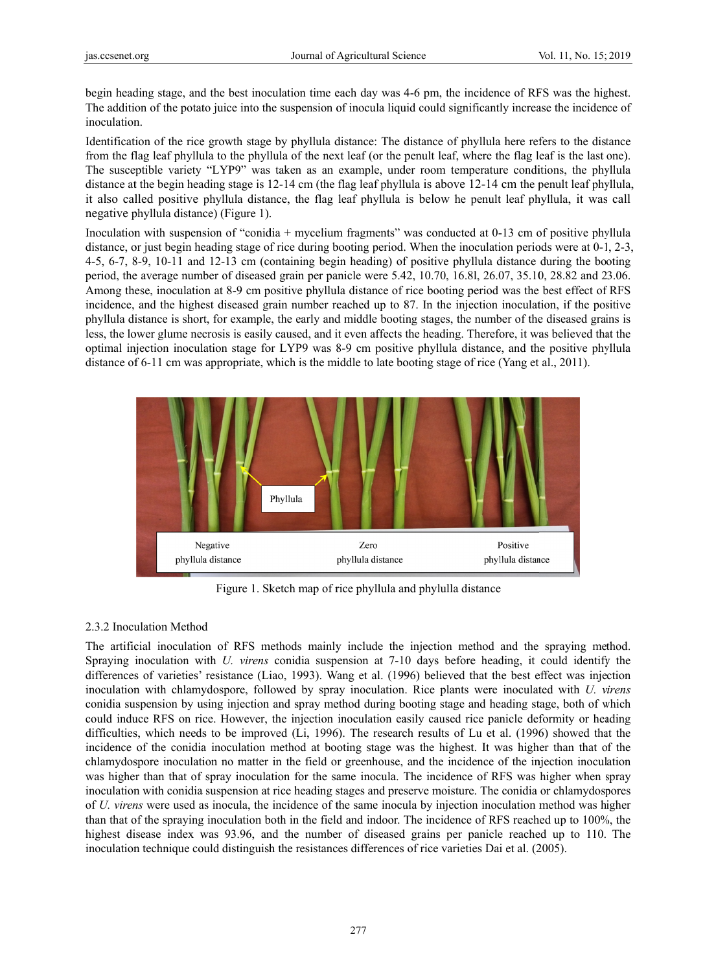begin heading stage, and the best inoculation time each day was 4-6 pm, the incidence of RFS was the highest. The addition of the potato juice into the suspension of inocula liquid could significantly increase the incidence of inoculation.

Identification of the rice growth stage by phyllula distance: The distance of phyllula here refers to the distance from the flag leaf phyllula to the phyllula of the next leaf (or the penult leaf, where the flag leaf is the last one). The susceptible variety "LYP9" was taken as an example, under room temperature conditions, the phyllula distance at the begin heading stage is 12-14 cm (the flag leaf phyllula is above 12-14 cm the penult leaf phyllula, it also called positive phyllula distance, the flag leaf phyllula is below he penult leaf phyllula, it was call negative phyllula distance) (Figure 1).

Inoculation with suspension of "conidia + mycelium fragments" was conducted at 0-13 cm of positive phyllula distance, or just begin heading stage of rice during booting period. When the inoculation periods were at 0-1, 2-3,  $4-5$ ,  $6-7$ ,  $8-9$ ,  $10-11$  and  $12-13$  cm (containing begin heading) of positive phyllula distance during the booting period, the average number of diseased grain per panicle were 5.42, 10.70, 16.8l, 26.07, 35.10, 28.82 and 23.06. Among these, inoculation at 8-9 cm positive phyllula distance of rice booting period was the best effect of RFS incidence, and the highest diseased grain number reached up to 87. In the injection inoculation, if the positive phyllula distance is short, for example, the early and middle booting stages, the number of the diseased grains is less, the lower glume necrosis is easily caused, and it even affects the heading. Therefore, it was believed that the optimal injection inoculation stage for LYP9 was 8-9 cm positive phyllula distance, and the positive phyllula distance of 6-11 cm was appropriate, which is the middle to late booting stage of rice (Yang et al., 2011).



Figure 1. Sketch map of rice phyllula and phylulla distance

## 2.3.2 Inoculation Method

2.3.2 Inoculation Method<br>The artificial inoculation of RFS methods mainly include the injection method and the spraying method. Spraying inoculation with *U. virens* conidia suspension at 7-10 days before heading, it could identify the differences of varieties' resistance (Liao, 1993). Wang et al. (1996) believed that the best effect was injection inoculation with chlamydospore, followed by spray inoculation. Rice plants were inoculated with *U. virens* conidia suspension by using injection and spray method during booting stage and heading stage, both of which could induce RFS on rice. However, the injection inoculation easily caused rice panicle deformity or heading difficulties, which needs to be improved (Li, 1996). The research results of Lu et al. (1996) showed that the incidence of the conidia inoculation method at booting stage was the highest. It was higher than that of the chlamydospore inoculation no matter in the field or greenhouse, and the incidence of the injection inoculation was higher than that of spray inoculation for the same inocula. The incidence of RFS was higher when spray inoculation with conidia suspension at rice heading stages and preserve moisture. The conidia or chlamydospores of *U. virens* were used as inocula, the incidence of the same inocula by injection inoculation method was higher than that of the spraying inoculation both in the field and indoor. The incidence of RFS reached up to 100%, the highest disease index was 93.96, and the number of diseased grains per panicle reached up to 110. The inoculation technique could distinguish the resistances differences of rice varieties Dai et al. (2005).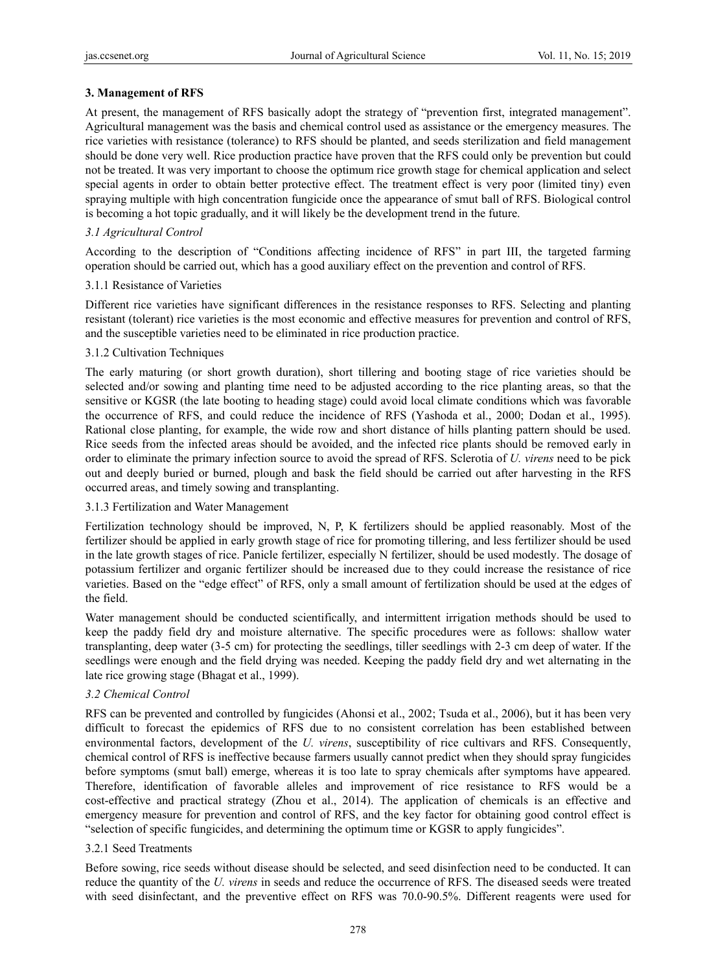## **3. Management of RFS**

At present, the management of RFS basically adopt the strategy of "prevention first, integrated management". Agricultural management was the basis and chemical control used as assistance or the emergency measures. The rice varieties with resistance (tolerance) to RFS should be planted, and seeds sterilization and field management should be done very well. Rice production practice have proven that the RFS could only be prevention but could not be treated. It was very important to choose the optimum rice growth stage for chemical application and select special agents in order to obtain better protective effect. The treatment effect is very poor (limited tiny) even spraying multiple with high concentration fungicide once the appearance of smut ball of RFS. Biological control is becoming a hot topic gradually, and it will likely be the development trend in the future.

## *3.1 Agricultural Control*

According to the description of "Conditions affecting incidence of RFS" in part III, the targeted farming operation should be carried out, which has a good auxiliary effect on the prevention and control of RFS.

### 3.1.1 Resistance of Varieties

Different rice varieties have significant differences in the resistance responses to RFS. Selecting and planting resistant (tolerant) rice varieties is the most economic and effective measures for prevention and control of RFS, and the susceptible varieties need to be eliminated in rice production practice.

## 3.1.2 Cultivation Techniques

The early maturing (or short growth duration), short tillering and booting stage of rice varieties should be selected and/or sowing and planting time need to be adjusted according to the rice planting areas, so that the sensitive or KGSR (the late booting to heading stage) could avoid local climate conditions which was favorable the occurrence of RFS, and could reduce the incidence of RFS (Yashoda et al., 2000; Dodan et al., 1995). Rational close planting, for example, the wide row and short distance of hills planting pattern should be used. Rice seeds from the infected areas should be avoided, and the infected rice plants should be removed early in order to eliminate the primary infection source to avoid the spread of RFS. Sclerotia of *U. virens* need to be pick out and deeply buried or burned, plough and bask the field should be carried out after harvesting in the RFS occurred areas, and timely sowing and transplanting.

### 3.1.3 Fertilization and Water Management

Fertilization technology should be improved, N, P, K fertilizers should be applied reasonably. Most of the fertilizer should be applied in early growth stage of rice for promoting tillering, and less fertilizer should be used in the late growth stages of rice. Panicle fertilizer, especially N fertilizer, should be used modestly. The dosage of potassium fertilizer and organic fertilizer should be increased due to they could increase the resistance of rice varieties. Based on the "edge effect" of RFS, only a small amount of fertilization should be used at the edges of the field.

Water management should be conducted scientifically, and intermittent irrigation methods should be used to keep the paddy field dry and moisture alternative. The specific procedures were as follows: shallow water transplanting, deep water (3-5 cm) for protecting the seedlings, tiller seedlings with 2-3 cm deep of water. If the seedlings were enough and the field drying was needed. Keeping the paddy field dry and wet alternating in the late rice growing stage (Bhagat et al., 1999).

### *3.2 Chemical Control*

RFS can be prevented and controlled by fungicides (Ahonsi et al., 2002; Tsuda et al., 2006), but it has been very difficult to forecast the epidemics of RFS due to no consistent correlation has been established between environmental factors, development of the *U. virens*, susceptibility of rice cultivars and RFS. Consequently, chemical control of RFS is ineffective because farmers usually cannot predict when they should spray fungicides before symptoms (smut ball) emerge, whereas it is too late to spray chemicals after symptoms have appeared. Therefore, identification of favorable alleles and improvement of rice resistance to RFS would be a cost-effective and practical strategy (Zhou et al., 2014). The application of chemicals is an effective and emergency measure for prevention and control of RFS, and the key factor for obtaining good control effect is "selection of specific fungicides, and determining the optimum time or KGSR to apply fungicides".

### 3.2.1 Seed Treatments

Before sowing, rice seeds without disease should be selected, and seed disinfection need to be conducted. It can reduce the quantity of the *U. virens* in seeds and reduce the occurrence of RFS. The diseased seeds were treated with seed disinfectant, and the preventive effect on RFS was 70.0-90.5%. Different reagents were used for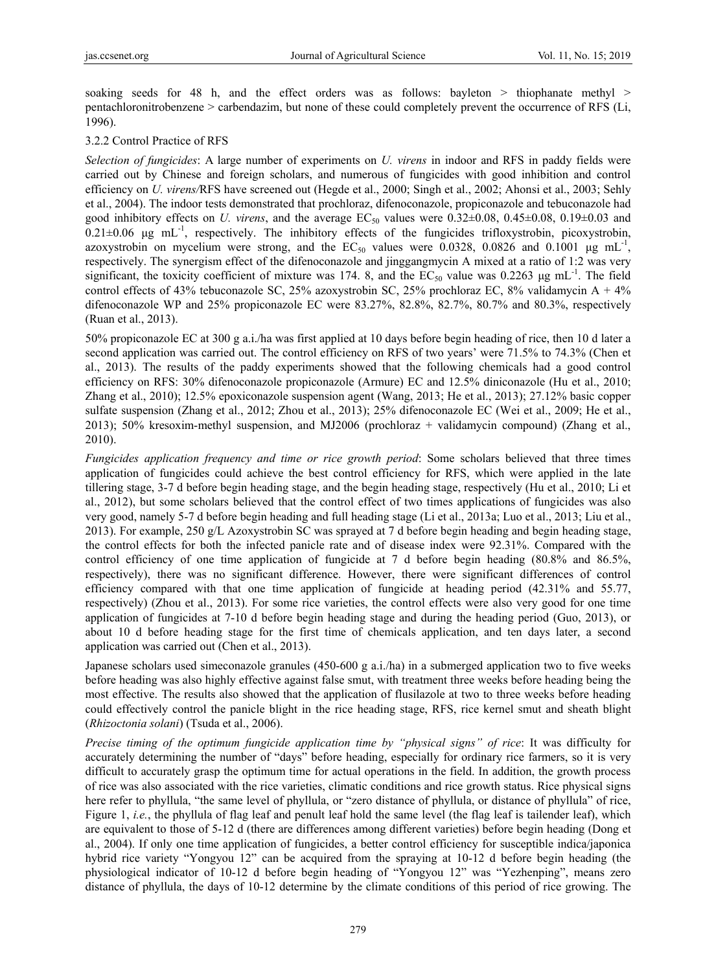soaking seeds for 48 h, and the effect orders was as follows: bayleton  $>$  thiophanate methyl  $>$ pentachloronitrobenzene > carbendazim, but none of these could completely prevent the occurrence of RFS (Li, 1996).

## 3.2.2 Control Practice of RFS

*Selection of fungicides*: A large number of experiments on *U. virens* in indoor and RFS in paddy fields were carried out by Chinese and foreign scholars, and numerous of fungicides with good inhibition and control efficiency on *U. virens/*RFS have screened out (Hegde et al., 2000; Singh et al., 2002; Ahonsi et al., 2003; Sehly et al., 2004). The indoor tests demonstrated that prochloraz, difenoconazole, propiconazole and tebuconazole had good inhibitory effects on *U. virens*, and the average  $EC_{50}$  values were 0.32 $\pm$ 0.08, 0.45 $\pm$ 0.08, 0.19 $\pm$ 0.03 and  $0.21 \pm 0.06$  μg mL<sup>-1</sup>, respectively. The inhibitory effects of the fungicides trifloxystrobin, picoxystrobin, azoxystrobin on mycelium were strong, and the  $EC_{50}$  values were 0.0328, 0.0826 and 0.1001 µg mL<sup>-1</sup>, respectively. The synergism effect of the difenoconazole and jinggangmycin A mixed at a ratio of 1:2 was very significant, the toxicity coefficient of mixture was 174. 8, and the  $EC_{50}$  value was 0.2263 µg mL<sup>-1</sup>. The field control effects of 43% tebuconazole SC, 25% azoxystrobin SC, 25% prochloraz EC, 8% validamycin A + 4% difenoconazole WP and 25% propiconazole EC were 83.27%, 82.8%, 82.7%, 80.7% and 80.3%, respectively (Ruan et al., 2013).

50% propiconazole EC at 300 g a.i./ha was first applied at 10 days before begin heading of rice, then 10 d later a second application was carried out. The control efficiency on RFS of two years' were 71.5% to 74.3% (Chen et al., 2013). The results of the paddy experiments showed that the following chemicals had a good control efficiency on RFS: 30% difenoconazole propiconazole (Armure) EC and 12.5% diniconazole (Hu et al., 2010; Zhang et al., 2010); 12.5% epoxiconazole suspension agent (Wang, 2013; He et al., 2013); 27.12% basic copper sulfate suspension (Zhang et al., 2012; Zhou et al., 2013); 25% difenoconazole EC (Wei et al., 2009; He et al., 2013); 50% kresoxim-methyl suspension, and MJ2006 (prochloraz + validamycin compound) (Zhang et al., 2010).

*Fungicides application frequency and time or rice growth period*: Some scholars believed that three times application of fungicides could achieve the best control efficiency for RFS, which were applied in the late tillering stage, 3-7 d before begin heading stage, and the begin heading stage, respectively (Hu et al., 2010; Li et al., 2012), but some scholars believed that the control effect of two times applications of fungicides was also very good, namely 5-7 d before begin heading and full heading stage (Li et al., 2013a; Luo et al., 2013; Liu et al., 2013). For example, 250 g/L Azoxystrobin SC was sprayed at 7 d before begin heading and begin heading stage, the control effects for both the infected panicle rate and of disease index were 92.31%. Compared with the control efficiency of one time application of fungicide at 7 d before begin heading (80.8% and 86.5%, respectively), there was no significant difference. However, there were significant differences of control efficiency compared with that one time application of fungicide at heading period (42.31% and 55.77, respectively) (Zhou et al., 2013). For some rice varieties, the control effects were also very good for one time application of fungicides at 7-10 d before begin heading stage and during the heading period (Guo, 2013), or about 10 d before heading stage for the first time of chemicals application, and ten days later, a second application was carried out (Chen et al., 2013).

Japanese scholars used simeconazole granules (450-600 g a.i./ha) in a submerged application two to five weeks before heading was also highly effective against false smut, with treatment three weeks before heading being the most effective. The results also showed that the application of flusilazole at two to three weeks before heading could effectively control the panicle blight in the rice heading stage, RFS, rice kernel smut and sheath blight (*Rhizoctonia solani*) (Tsuda et al., 2006).

*Precise timing of the optimum fungicide application time by "physical signs" of rice*: It was difficulty for accurately determining the number of "days" before heading, especially for ordinary rice farmers, so it is very difficult to accurately grasp the optimum time for actual operations in the field. In addition, the growth process of rice was also associated with the rice varieties, climatic conditions and rice growth status. Rice physical signs here refer to phyllula, "the same level of phyllula, or "zero distance of phyllula, or distance of phyllula" of rice, Figure 1, *i.e.*, the phyllula of flag leaf and penult leaf hold the same level (the flag leaf is tailender leaf), which are equivalent to those of 5-12 d (there are differences among different varieties) before begin heading (Dong et al., 2004). If only one time application of fungicides, a better control efficiency for susceptible indica/japonica hybrid rice variety "Yongyou 12" can be acquired from the spraying at 10-12 d before begin heading (the physiological indicator of 10-12 d before begin heading of "Yongyou 12" was "Yezhenping", means zero distance of phyllula, the days of 10-12 determine by the climate conditions of this period of rice growing. The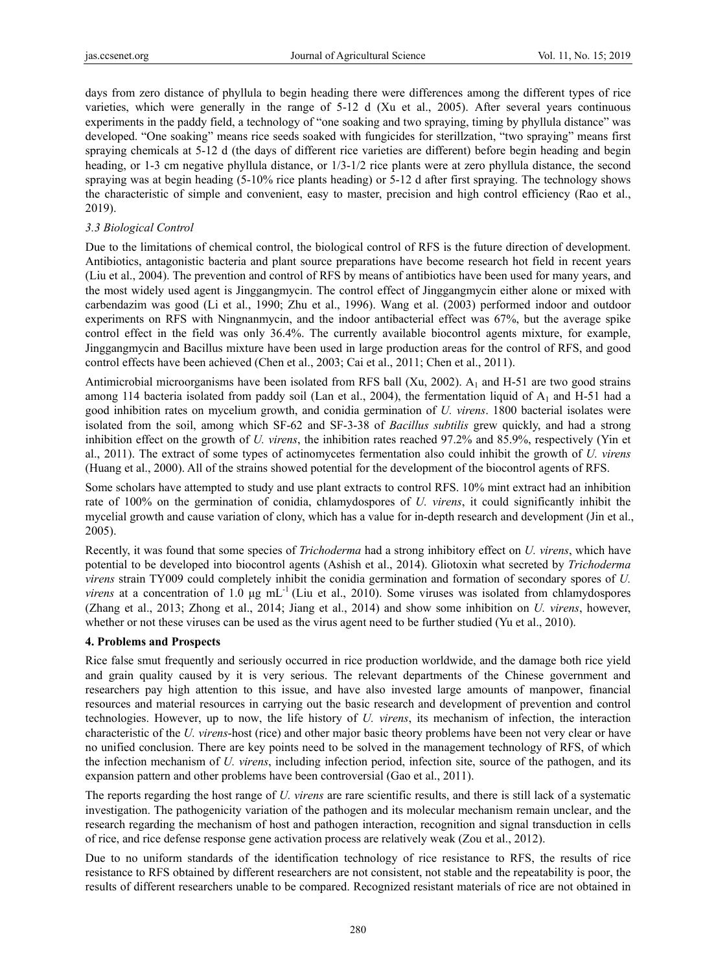days from zero distance of phyllula to begin heading there were differences among the different types of rice varieties, which were generally in the range of 5-12 d (Xu et al., 2005). After several years continuous experiments in the paddy field, a technology of "one soaking and two spraying, timing by phyllula distance" was developed. "One soaking" means rice seeds soaked with fungicides for sterillzation, "two spraying" means first spraying chemicals at 5-12 d (the days of different rice varieties are different) before begin heading and begin heading, or 1-3 cm negative phyllula distance, or  $1/3-1/2$  rice plants were at zero phyllula distance, the second spraying was at begin heading (5-10% rice plants heading) or 5-12 d after first spraying. The technology shows the characteristic of simple and convenient, easy to master, precision and high control efficiency (Rao et al., 2019).

## *3.3 Biological Control*

Due to the limitations of chemical control, the biological control of RFS is the future direction of development. Antibiotics, antagonistic bacteria and plant source preparations have become research hot field in recent years (Liu et al., 2004). The prevention and control of RFS by means of antibiotics have been used for many years, and the most widely used agent is Jinggangmycin. The control effect of Jinggangmycin either alone or mixed with carbendazim was good (Li et al., 1990; Zhu et al., 1996). Wang et al. (2003) performed indoor and outdoor experiments on RFS with Ningnanmycin, and the indoor antibacterial effect was 67%, but the average spike control effect in the field was only 36.4%. The currently available biocontrol agents mixture, for example, Jinggangmycin and Bacillus mixture have been used in large production areas for the control of RFS, and good control effects have been achieved (Chen et al., 2003; Cai et al., 2011; Chen et al., 2011).

Antimicrobial microorganisms have been isolated from RFS ball (Xu, 2002).  $A_1$  and H-51 are two good strains among 114 bacteria isolated from paddy soil (Lan et al., 2004), the fermentation liquid of  $A_1$  and H-51 had a good inhibition rates on mycelium growth, and conidia germination of *U. virens*. 1800 bacterial isolates were isolated from the soil, among which SF-62 and SF-3-38 of *Bacillus subtilis* grew quickly, and had a strong inhibition effect on the growth of *U. virens*, the inhibition rates reached 97.2% and 85.9%, respectively (Yin et al., 2011). The extract of some types of actinomycetes fermentation also could inhibit the growth of *U. virens* (Huang et al., 2000). All of the strains showed potential for the development of the biocontrol agents of RFS.

Some scholars have attempted to study and use plant extracts to control RFS. 10% mint extract had an inhibition rate of 100% on the germination of conidia, chlamydospores of *U. virens*, it could significantly inhibit the mycelial growth and cause variation of clony, which has a value for in-depth research and development (Jin et al., 2005).

Recently, it was found that some species of *Trichoderma* had a strong inhibitory effect on *U. virens*, which have potential to be developed into biocontrol agents (Ashish et al., 2014). Gliotoxin what secreted by *Trichoderma virens* strain TY009 could completely inhibit the conidia germination and formation of secondary spores of *U. virens* at a concentration of 1.0  $\mu$ g mL<sup>-1</sup> (Liu et al., 2010). Some viruses was isolated from chlamydospores (Zhang et al., 2013; Zhong et al., 2014; Jiang et al., 2014) and show some inhibition on *U. virens*, however, whether or not these viruses can be used as the virus agent need to be further studied (Yu et al., 2010).

### **4. Problems and Prospects**

Rice false smut frequently and seriously occurred in rice production worldwide, and the damage both rice yield and grain quality caused by it is very serious. The relevant departments of the Chinese government and researchers pay high attention to this issue, and have also invested large amounts of manpower, financial resources and material resources in carrying out the basic research and development of prevention and control technologies. However, up to now, the life history of *U. virens*, its mechanism of infection, the interaction characteristic of the *U. virens*-host (rice) and other major basic theory problems have been not very clear or have no unified conclusion. There are key points need to be solved in the management technology of RFS, of which the infection mechanism of *U. virens*, including infection period, infection site, source of the pathogen, and its expansion pattern and other problems have been controversial (Gao et al., 2011).

The reports regarding the host range of *U. virens* are rare scientific results, and there is still lack of a systematic investigation. The pathogenicity variation of the pathogen and its molecular mechanism remain unclear, and the research regarding the mechanism of host and pathogen interaction, recognition and signal transduction in cells of rice, and rice defense response gene activation process are relatively weak (Zou et al., 2012).

Due to no uniform standards of the identification technology of rice resistance to RFS, the results of rice resistance to RFS obtained by different researchers are not consistent, not stable and the repeatability is poor, the results of different researchers unable to be compared. Recognized resistant materials of rice are not obtained in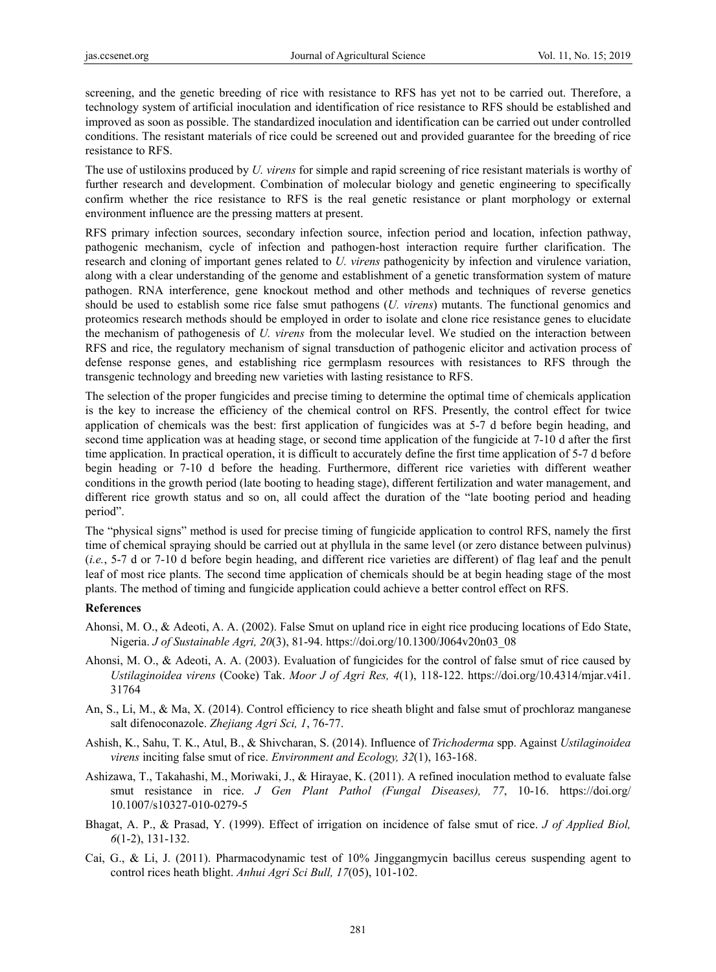screening, and the genetic breeding of rice with resistance to RFS has yet not to be carried out. Therefore, a technology system of artificial inoculation and identification of rice resistance to RFS should be established and improved as soon as possible. The standardized inoculation and identification can be carried out under controlled conditions. The resistant materials of rice could be screened out and provided guarantee for the breeding of rice resistance to RFS.

The use of ustiloxins produced by *U. virens* for simple and rapid screening of rice resistant materials is worthy of further research and development. Combination of molecular biology and genetic engineering to specifically confirm whether the rice resistance to RFS is the real genetic resistance or plant morphology or external environment influence are the pressing matters at present.

RFS primary infection sources, secondary infection source, infection period and location, infection pathway, pathogenic mechanism, cycle of infection and pathogen-host interaction require further clarification. The research and cloning of important genes related to *U. virens* pathogenicity by infection and virulence variation, along with a clear understanding of the genome and establishment of a genetic transformation system of mature pathogen. RNA interference, gene knockout method and other methods and techniques of reverse genetics should be used to establish some rice false smut pathogens (*U. virens*) mutants. The functional genomics and proteomics research methods should be employed in order to isolate and clone rice resistance genes to elucidate the mechanism of pathogenesis of *U. virens* from the molecular level. We studied on the interaction between RFS and rice, the regulatory mechanism of signal transduction of pathogenic elicitor and activation process of defense response genes, and establishing rice germplasm resources with resistances to RFS through the transgenic technology and breeding new varieties with lasting resistance to RFS.

The selection of the proper fungicides and precise timing to determine the optimal time of chemicals application is the key to increase the efficiency of the chemical control on RFS. Presently, the control effect for twice application of chemicals was the best: first application of fungicides was at 5-7 d before begin heading, and second time application was at heading stage, or second time application of the fungicide at 7-10 d after the first time application. In practical operation, it is difficult to accurately define the first time application of 5-7 d before begin heading or 7-10 d before the heading. Furthermore, different rice varieties with different weather conditions in the growth period (late booting to heading stage), different fertilization and water management, and different rice growth status and so on, all could affect the duration of the "late booting period and heading period".

The "physical signs" method is used for precise timing of fungicide application to control RFS, namely the first time of chemical spraying should be carried out at phyllula in the same level (or zero distance between pulvinus) (*i.e.*, 5-7 d or 7-10 d before begin heading, and different rice varieties are different) of flag leaf and the penult leaf of most rice plants. The second time application of chemicals should be at begin heading stage of the most plants. The method of timing and fungicide application could achieve a better control effect on RFS.

#### **References**

- Ahonsi, M. O., & Adeoti, A. A. (2002). False Smut on upland rice in eight rice producing locations of Edo State, Nigeria. *J of Sustainable Agri, 20*(3), 81-94. https://doi.org/10.1300/J064v20n03\_08
- Ahonsi, M. O., & Adeoti, A. A. (2003). Evaluation of fungicides for the control of false smut of rice caused by *Ustilaginoidea virens* (Cooke) Tak. *Moor J of Agri Res, 4*(1), 118-122. https://doi.org/10.4314/mjar.v4i1. 31764
- An, S., Li, M., & Ma, X. (2014). Control efficiency to rice sheath blight and false smut of prochloraz manganese salt difenoconazole. *Zhejiang Agri Sci, 1*, 76-77.
- Ashish, K., Sahu, T. K., Atul, B., & Shivcharan, S. (2014). Influence of *Trichoderma* spp. Against *Ustilaginoidea virens* inciting false smut of rice. *Environment and Ecology, 32*(1), 163-168.
- Ashizawa, T., Takahashi, M., Moriwaki, J., & Hirayae, K. (2011). A refined inoculation method to evaluate false smut resistance in rice. *J Gen Plant Pathol (Fungal Diseases), 77*, 10-16. https://doi.org/ 10.1007/s10327-010-0279-5
- Bhagat, A. P., & Prasad, Y. (1999). Effect of irrigation on incidence of false smut of rice. *J of Applied Biol, 6*(1-2), 131-132.
- Cai, G., & Li, J. (2011). Pharmacodynamic test of 10% Jinggangmycin bacillus cereus suspending agent to control rices heath blight. *Anhui Agri Sci Bull, 17*(05), 101-102.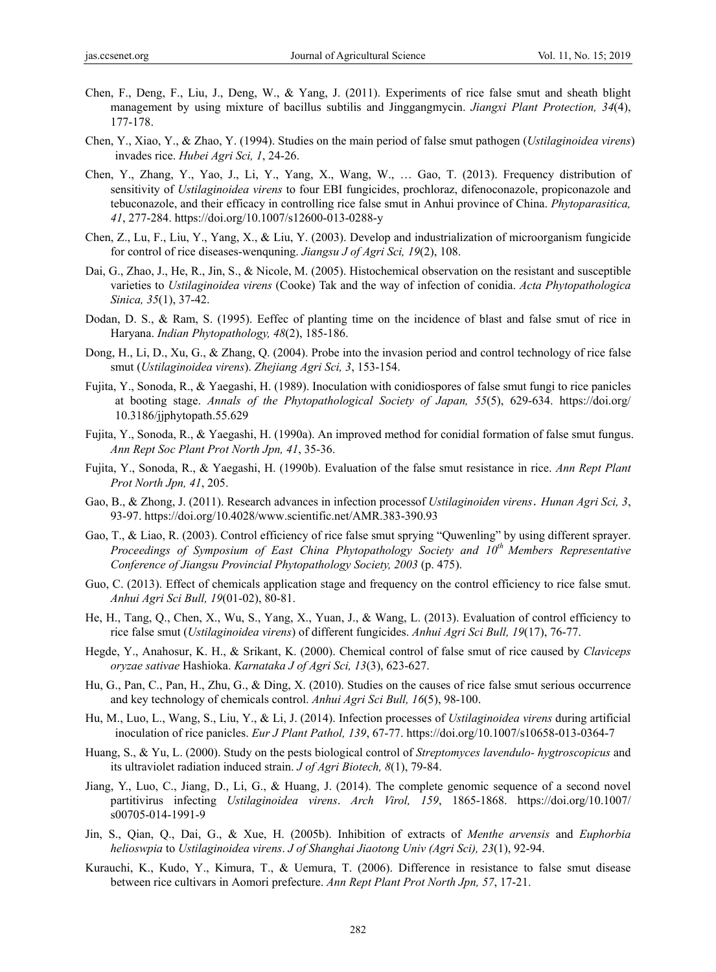- Chen, F., Deng, F., Liu, J., Deng, W., & Yang, J. (2011). Experiments of rice false smut and sheath blight management by using mixture of bacillus subtilis and Jinggangmycin. *Jiangxi Plant Protection, 34*(4), 177-178.
- Chen, Y., Xiao, Y., & Zhao, Y. (1994). Studies on the main period of false smut pathogen (*Ustilaginoidea virens*) invades rice. *Hubei Agri Sci, 1*, 24-26.
- Chen, Y., Zhang, Y., Yao, J., Li, Y., Yang, X., Wang, W., … Gao, T. (2013). Frequency distribution of sensitivity of *Ustilaginoidea virens* to four EBI fungicides, prochloraz, difenoconazole, propiconazole and tebuconazole, and their efficacy in controlling rice false smut in Anhui province of China. *Phytoparasitica, 41*, 277-284. https://doi.org/10.1007/s12600-013-0288-y
- Chen, Z., Lu, F., Liu, Y., Yang, X., & Liu, Y. (2003). Develop and industrialization of microorganism fungicide for control of rice diseases-wenquning. *Jiangsu J of Agri Sci, 19*(2), 108.
- Dai, G., Zhao, J., He, R., Jin, S., & Nicole, M. (2005). Histochemical observation on the resistant and susceptible varieties to *Ustilaginoidea virens* (Cooke) Tak and the way of infection of conidia. *Acta Phytopathologica Sinica, 35*(1), 37-42.
- Dodan, D. S., & Ram, S. (1995). Eeffec of planting time on the incidence of blast and false smut of rice in Haryana. *Indian Phytopathology, 48*(2), 185-186.
- Dong, H., Li, D., Xu, G., & Zhang, Q. (2004). Probe into the invasion period and control technology of rice false smut (*Ustilaginoidea virens*). *Zhejiang Agri Sci, 3*, 153-154.
- Fujita, Y., Sonoda, R., & Yaegashi, H. (1989). Inoculation with conidiospores of false smut fungi to rice panicles at booting stage. *Annals of the Phytopathological Society of Japan, 55*(5), 629-634. https://doi.org/ 10.3186/jjphytopath.55.629
- Fujita, Y., Sonoda, R., & Yaegashi, H. (1990a). An improved method for conidial formation of false smut fungus. *Ann Rept Soc Plant Prot North Jpn, 41*, 35-36.
- Fujita, Y., Sonoda, R., & Yaegashi, H. (1990b). Evaluation of the false smut resistance in rice. *Ann Rept Plant Prot North Jpn, 41*, 205.
- Gao, B., & Zhong, J. (2011). Research advances in infection processof *Ustilaginoiden virens*.*Hunan Agri Sci, 3*, 93-97. https://doi.org/10.4028/www.scientific.net/AMR.383-390.93
- Gao, T., & Liao, R. (2003). Control efficiency of rice false smut sprying "Quwenling" by using different sprayer. *Proceedings of Symposium of East China Phytopathology Society and 10<sup>th</sup> Members Representative Conference of Jiangsu Provincial Phytopathology Society, 2003* (p. 475).
- Guo, C. (2013). Effect of chemicals application stage and frequency on the control efficiency to rice false smut. *Anhui Agri Sci Bull, 19*(01-02), 80-81.
- He, H., Tang, Q., Chen, X., Wu, S., Yang, X., Yuan, J., & Wang, L. (2013). Evaluation of control efficiency to rice false smut (*Ustilaginoidea virens*) of different fungicides. *Anhui Agri Sci Bull, 19*(17), 76-77.
- Hegde, Y., Anahosur, K. H., & Srikant, K. (2000). Chemical control of false smut of rice caused by *Claviceps oryzae sativae* Hashioka. *Karnataka J of Agri Sci, 13*(3), 623-627.
- Hu, G., Pan, C., Pan, H., Zhu, G., & Ding, X. (2010). Studies on the causes of rice false smut serious occurrence and key technology of chemicals control. *Anhui Agri Sci Bull, 16*(5), 98-100.
- Hu, M., Luo, L., Wang, S., Liu, Y., & Li, J. (2014). Infection processes of *Ustilaginoidea virens* during artificial inoculation of rice panicles. *Eur J Plant Pathol, 139*, 67-77. https://doi.org/10.1007/s10658-013-0364-7
- Huang, S., & Yu, L. (2000). Study on the pests biological control of *Streptomyces lavendulo- hygtroscopicus* and its ultraviolet radiation induced strain. *J of Agri Biotech, 8*(1), 79-84.
- Jiang, Y., Luo, C., Jiang, D., Li, G., & Huang, J. (2014). The complete genomic sequence of a second novel partitivirus infecting *Ustilaginoidea virens*. *Arch Virol, 159*, 1865-1868. https://doi.org/10.1007/ s00705-014-1991-9
- Jin, S., Qian, Q., Dai, G., & Xue, H. (2005b). Inhibition of extracts of *Menthe arvensis* and *Euphorbia helioswpia* to *Ustilaginoidea virens*. *J of Shanghai Jiaotong Univ (Agri Sci), 23*(1), 92-94.
- Kurauchi, K., Kudo, Y., Kimura, T., & Uemura, T. (2006). Difference in resistance to false smut disease between rice cultivars in Aomori prefecture. *Ann Rept Plant Prot North Jpn, 57*, 17-21.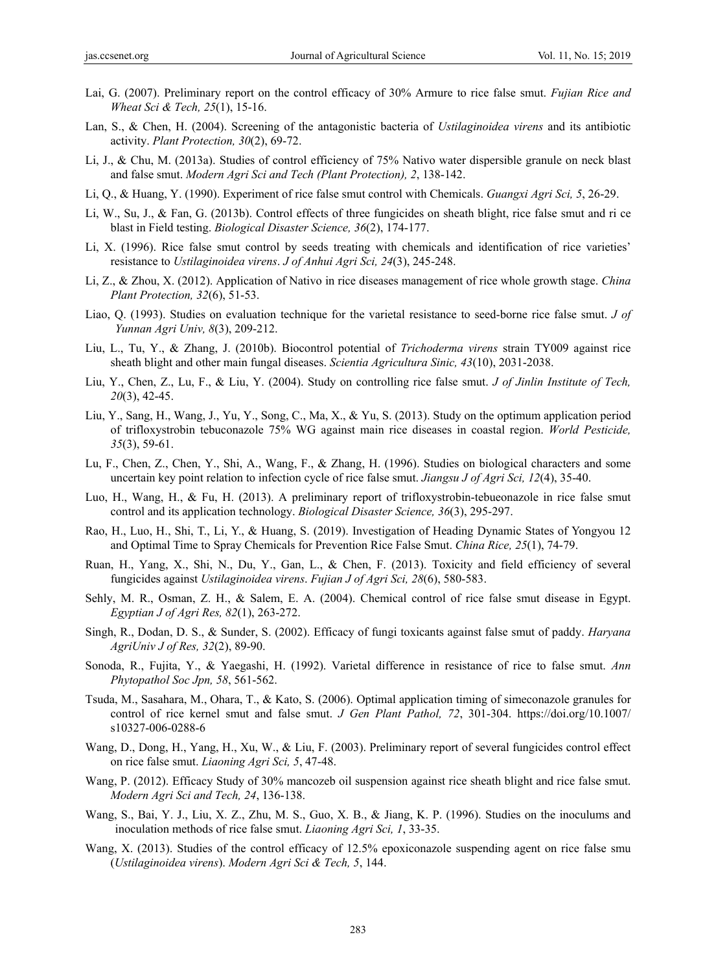- Lai, G. (2007). Preliminary report on the control efficacy of 30% Armure to rice false smut. *Fujian Rice and Wheat Sci & Tech, 25*(1), 15-16.
- Lan, S., & Chen, H. (2004). Screening of the antagonistic bacteria of *Ustilaginoidea virens* and its antibiotic activity. *Plant Protection, 30*(2), 69-72.
- Li, J., & Chu, M. (2013a). Studies of control efficiency of 75% Nativo water dispersible granule on neck blast and false smut. *Modern Agri Sci and Tech (Plant Protection), 2*, 138-142.
- Li, Q., & Huang, Y. (1990). Experiment of rice false smut control with Chemicals. *Guangxi Agri Sci, 5*, 26-29.
- Li, W., Su, J., & Fan, G. (2013b). Control effects of three fungicides on sheath blight, rice false smut and ri ce blast in Field testing. *Biological Disaster Science, 36*(2), 174-177.
- Li, X. (1996). Rice false smut control by seeds treating with chemicals and identification of rice varieties' resistance to *Ustilaginoidea virens*. *J of Anhui Agri Sci, 24*(3), 245-248.
- Li, Z., & Zhou, X. (2012). Application of Nativo in rice diseases management of rice whole growth stage. *China Plant Protection, 32*(6), 51-53.
- Liao, Q. (1993). Studies on evaluation technique for the varietal resistance to seed-borne rice false smut. *J of Yunnan Agri Univ, 8*(3), 209-212.
- Liu, L., Tu, Y., & Zhang, J. (2010b). Biocontrol potential of *Trichoderma virens* strain TY009 against rice sheath blight and other main fungal diseases. *Scientia Agricultura Sinic, 43*(10), 2031-2038.
- Liu, Y., Chen, Z., Lu, F., & Liu, Y. (2004). Study on controlling rice false smut. *J of Jinlin Institute of Tech, 20*(3), 42-45.
- Liu, Y., Sang, H., Wang, J., Yu, Y., Song, C., Ma, X., & Yu, S. (2013). Study on the optimum application period of trifloxystrobin tebuconazole 75% WG against main rice diseases in coastal region. *World Pesticide, 35*(3), 59-61.
- Lu, F., Chen, Z., Chen, Y., Shi, A., Wang, F., & Zhang, H. (1996). Studies on biological characters and some uncertain key point relation to infection cycle of rice false smut. *Jiangsu J of Agri Sci, 12*(4), 35-40.
- Luo, H., Wang, H., & Fu, H. (2013). A preliminary report of trifloxystrobin-tebueonazole in rice false smut control and its application technology. *Biological Disaster Science, 36*(3), 295-297.
- Rao, H., Luo, H., Shi, T., Li, Y., & Huang, S. (2019). Investigation of Heading Dynamic States of Yongyou 12 and Optimal Time to Spray Chemicals for Prevention Rice False Smut. *China Rice, 25*(1), 74-79.
- Ruan, H., Yang, X., Shi, N., Du, Y., Gan, L., & Chen, F. (2013). Toxicity and field efficiency of several fungicides against *Ustilaginoidea virens*. *Fujian J of Agri Sci, 28*(6), 580-583.
- Sehly, M. R., Osman, Z. H., & Salem, E. A. (2004). Chemical control of rice false smut disease in Egypt. *Egyptian J of Agri Res, 82*(1), 263-272.
- Singh, R., Dodan, D. S., & Sunder, S. (2002). Efficacy of fungi toxicants against false smut of paddy. *Haryana AgriUniv J of Res, 32*(2), 89-90.
- Sonoda, R., Fujita, Y., & Yaegashi, H. (1992). Varietal difference in resistance of rice to false smut. *Ann Phytopathol Soc Jpn, 58*, 561-562.
- Tsuda, M., Sasahara, M., Ohara, T., & Kato, S. (2006). Optimal application timing of simeconazole granules for control of rice kernel smut and false smut. *J Gen Plant Pathol, 72*, 301-304. https://doi.org/10.1007/ s10327-006-0288-6
- Wang, D., Dong, H., Yang, H., Xu, W., & Liu, F. (2003). Preliminary report of several fungicides control effect on rice false smut. *Liaoning Agri Sci, 5*, 47-48.
- Wang, P. (2012). Efficacy Study of 30% mancozeb oil suspension against rice sheath blight and rice false smut. *Modern Agri Sci and Tech, 24*, 136-138.
- Wang, S., Bai, Y. J., Liu, X. Z., Zhu, M. S., Guo, X. B., & Jiang, K. P. (1996). Studies on the inoculums and inoculation methods of rice false smut. *Liaoning Agri Sci, 1*, 33-35.
- Wang, X. (2013). Studies of the control efficacy of 12.5% epoxiconazole suspending agent on rice false smu (*Ustilaginoidea virens*). *Modern Agri Sci & Tech, 5*, 144.